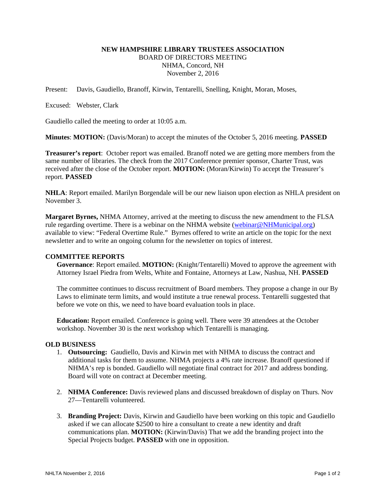# **NEW HAMPSHIRE LIBRARY TRUSTEES ASSOCIATION**  BOARD OF DIRECTORS MEETING NHMA, Concord, NH November 2, 2016

Present: Davis, Gaudiello, Branoff, Kirwin, Tentarelli, Snelling, Knight, Moran, Moses,

Excused: Webster, Clark

Gaudiello called the meeting to order at 10:05 a.m.

**Minutes**: **MOTION:** (Davis/Moran) to accept the minutes of the October 5, 2016 meeting. **PASSED**

**Treasurer's report**: October report was emailed. Branoff noted we are getting more members from the same number of libraries. The check from the 2017 Conference premier sponsor, Charter Trust, was received after the close of the October report. **MOTION:** (Moran/Kirwin) To accept the Treasurer's report. **PASSED** 

**NHLA**: Report emailed. Marilyn Borgendale will be our new liaison upon election as NHLA president on November 3.

**Margaret Byrnes,** NHMA Attorney, arrived at the meeting to discuss the new amendment to the FLSA rule regarding overtime. There is a webinar on the NHMA website (webinar@NHMunicipal.org) available to view: "Federal Overtime Rule." Byrnes offered to write an article on the topic for the next newsletter and to write an ongoing column for the newsletter on topics of interest.

### **COMMITTEE REPORTS**

**Governance**: Report emailed. **MOTION:** (Knight/Tentarelli) Moved to approve the agreement with Attorney Israel Piedra from Welts, White and Fontaine, Attorneys at Law, Nashua, NH. **PASSED**

The committee continues to discuss recruitment of Board members. They propose a change in our By Laws to eliminate term limits, and would institute a true renewal process. Tentarelli suggested that before we vote on this, we need to have board evaluation tools in place.

**Education:** Report emailed. Conference is going well. There were 39 attendees at the October workshop. November 30 is the next workshop which Tentarelli is managing.

#### **OLD BUSINESS**

- 1. **Outsourcing:** Gaudiello, Davis and Kirwin met with NHMA to discuss the contract and additional tasks for them to assume. NHMA projects a 4% rate increase. Branoff questioned if NHMA's rep is bonded. Gaudiello will negotiate final contract for 2017 and address bonding. Board will vote on contract at December meeting.
- 2. **NHMA Conference:** Davis reviewed plans and discussed breakdown of display on Thurs. Nov 27—Tentarelli volunteered.
- 3. **Branding Project:** Davis, Kirwin and Gaudiello have been working on this topic and Gaudiello asked if we can allocate \$2500 to hire a consultant to create a new identity and draft communications plan. **MOTION:** (Kirwin/Davis) That we add the branding project into the Special Projects budget. **PASSED** with one in opposition.